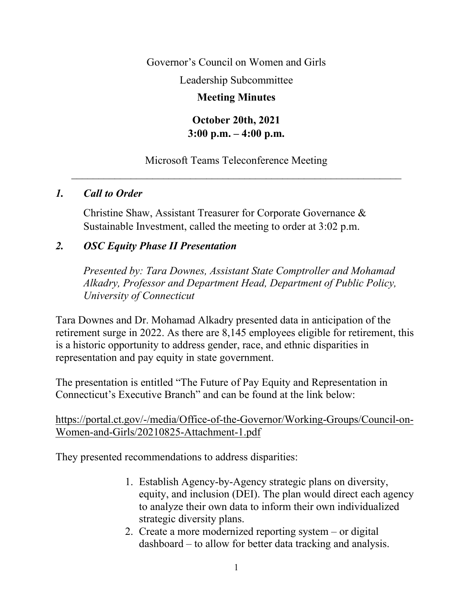Governor's Council on Women and Girls

Leadership Subcommittee

**Meeting Minutes**

**October 20th, 2021 3:00 p.m. – 4:00 p.m.**

Microsoft Teams Teleconference Meeting \_\_\_\_\_\_\_\_\_\_\_\_\_\_\_\_\_\_\_\_\_\_\_\_\_\_\_\_\_\_\_\_\_\_\_\_\_\_\_\_\_\_\_\_\_\_\_\_\_\_\_\_\_\_\_\_\_\_\_\_\_

### *1. Call to Order*

Christine Shaw, Assistant Treasurer for Corporate Governance & Sustainable Investment, called the meeting to order at 3:02 p.m.

### *2. OSC Equity Phase II Presentation*

*Presented by: Tara Downes, Assistant State Comptroller and Mohamad Alkadry, Professor and Department Head, Department of Public Policy, University of Connecticut*

Tara Downes and Dr. Mohamad Alkadry presented data in anticipation of the retirement surge in 2022. As there are 8,145 employees eligible for retirement, this is a historic opportunity to address gender, race, and ethnic disparities in representation and pay equity in state government.

The presentation is entitled "The Future of Pay Equity and Representation in Connecticut's Executive Branch" and can be found at the link below:

[https://portal.ct.gov/-/media/Office-of-the-Governor/Working-Groups/Council-on-](https://portal.ct.gov/-/media/Office-of-the-Governor/Working-Groups/Council-on-Women-and-Girls/20210825-Attachment-1.pdf)[Women-and-Girls/20210825-Attachment-1.pdf](https://portal.ct.gov/-/media/Office-of-the-Governor/Working-Groups/Council-on-Women-and-Girls/20210825-Attachment-1.pdf)

They presented recommendations to address disparities:

- 1. Establish Agency-by-Agency strategic plans on diversity, equity, and inclusion (DEI). The plan would direct each agency to analyze their own data to inform their own individualized strategic diversity plans.
- 2. Create a more modernized reporting system or digital dashboard – to allow for better data tracking and analysis.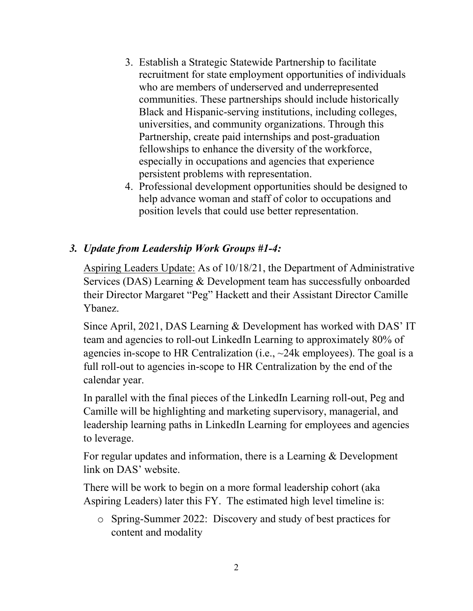- 3. Establish a Strategic Statewide Partnership to facilitate recruitment for state employment opportunities of individuals who are members of underserved and underrepresented communities. These partnerships should include historically Black and Hispanic-serving institutions, including colleges, universities, and community organizations. Through this Partnership, create paid internships and post-graduation fellowships to enhance the diversity of the workforce, especially in occupations and agencies that experience persistent problems with representation.
- 4. Professional development opportunities should be designed to help advance woman and staff of color to occupations and position levels that could use better representation.

### *3. Update from Leadership Work Groups #1-4:*

Aspiring Leaders Update: As of 10/18/21, the Department of Administrative Services (DAS) Learning & Development team has successfully onboarded their Director Margaret "Peg" Hackett and their Assistant Director Camille Ybanez.

Since April, 2021, DAS Learning & Development has worked with DAS' IT team and agencies to roll-out LinkedIn Learning to approximately 80% of agencies in-scope to HR Centralization (i.e.,  $\sim$ 24k employees). The goal is a full roll-out to agencies in-scope to HR Centralization by the end of the calendar year.

In parallel with the final pieces of the LinkedIn Learning roll-out, Peg and Camille will be highlighting and marketing supervisory, managerial, and leadership learning paths in LinkedIn Learning for employees and agencies to leverage.

For regular updates and information, there is a Learning & Development link on DAS' website.

There will be work to begin on a more formal leadership cohort (aka Aspiring Leaders) later this FY. The estimated high level timeline is:

o Spring-Summer 2022: Discovery and study of best practices for content and modality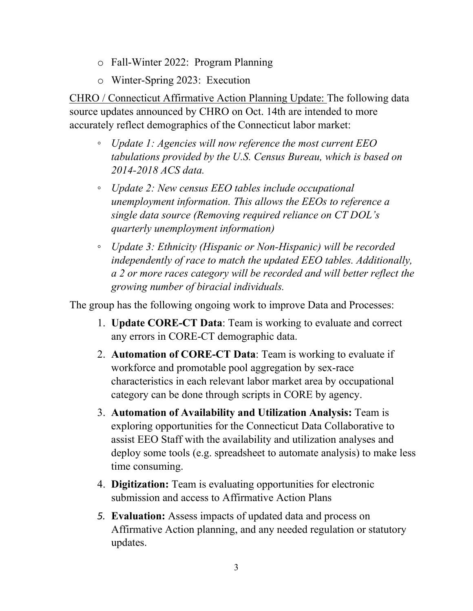- o Fall-Winter 2022: Program Planning
- o Winter-Spring 2023: Execution

CHRO / Connecticut Affirmative Action Planning Update: The following data source updates announced by CHRO on Oct. 14th are intended to more accurately reflect demographics of the Connecticut labor market:

- *Update 1: Agencies will now reference the most current EEO tabulations provided by the U.S. Census Bureau, which is based on 2014-2018 ACS data.*
- *Update 2: New census EEO tables include occupational unemployment information. This allows the EEOs to reference a single data source (Removing required reliance on CT DOL's quarterly unemployment information)*
- *Update 3: Ethnicity (Hispanic or Non-Hispanic) will be recorded independently of race to match the updated EEO tables. Additionally, a 2 or more races category will be recorded and will better reflect the growing number of biracial individuals.*

The group has the following ongoing work to improve Data and Processes:

- 1. **Update CORE-CT Data**: Team is working to evaluate and correct any errors in CORE-CT demographic data.
- 2. **Automation of CORE-CT Data**: Team is working to evaluate if workforce and promotable pool aggregation by sex-race characteristics in each relevant labor market area by occupational category can be done through scripts in CORE by agency.
- 3. **Automation of Availability and Utilization Analysis:** Team is exploring opportunities for the Connecticut Data Collaborative to assist EEO Staff with the availability and utilization analyses and deploy some tools (e.g. spreadsheet to automate analysis) to make less time consuming.
- 4. **Digitization:** Team is evaluating opportunities for electronic submission and access to Affirmative Action Plans
- *5.* **Evaluation:** Assess impacts of updated data and process on Affirmative Action planning, and any needed regulation or statutory updates.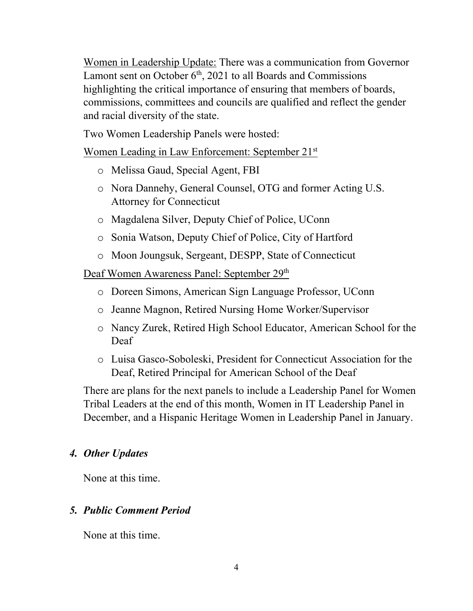Women in Leadership Update: There was a communication from Governor Lamont sent on October  $6<sup>th</sup>$ , 2021 to all Boards and Commissions highlighting the critical importance of ensuring that members of boards, commissions, committees and councils are qualified and reflect the gender and racial diversity of the state.

Two Women Leadership Panels were hosted:

Women Leading in Law Enforcement: September 21st

- o Melissa Gaud, Special Agent, FBI
- o Nora Dannehy, General Counsel, OTG and former Acting U.S. Attorney for Connecticut
- o Magdalena Silver, Deputy Chief of Police, UConn
- o Sonia Watson, Deputy Chief of Police, City of Hartford
- o Moon Joungsuk, Sergeant, DESPP, State of Connecticut

Deaf Women Awareness Panel: September 29<sup>th</sup>

- o Doreen Simons, American Sign Language Professor, UConn
- o Jeanne Magnon, Retired Nursing Home Worker/Supervisor
- o Nancy Zurek, Retired High School Educator, American School for the Deaf
- o Luisa Gasco-Soboleski, President for Connecticut Association for the Deaf, Retired Principal for American School of the Deaf

There are plans for the next panels to include a Leadership Panel for Women Tribal Leaders at the end of this month, Women in IT Leadership Panel in December, and a Hispanic Heritage Women in Leadership Panel in January.

# *4. Other Updates*

None at this time.

## *5. Public Comment Period*

None at this time.